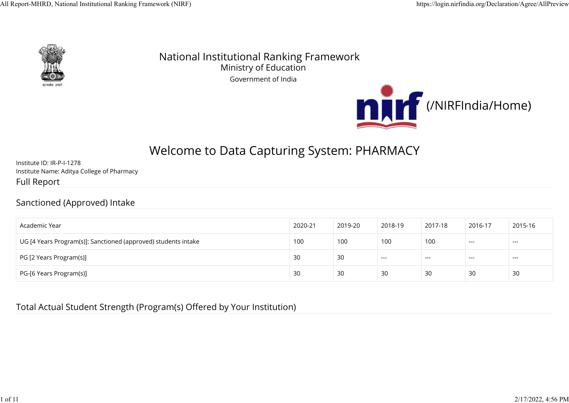

National Institutional Ranking Framework Ministry of Education Government of India



# Welcome to Data Capturing System: PHARMACY

Institute ID: IR-P-I-1278 Institute Name: Aditya College of Pharmacy Full Report

#### Sanctioned (Approved) Intake

| Academic Year                                                  | 2020-21 | 2019-20 | 2018-19 | 2017-18 | 2016-17 | 2015-16 |
|----------------------------------------------------------------|---------|---------|---------|---------|---------|---------|
| UG [4 Years Program(s)]: Sanctioned (approved) students intake | 100     | 100     | 100     | 100     | $---$   | $---$   |
| PG [2 Years Program(s)]                                        | 30      | 30      | $---$   | $---$   | $---$   | ---     |
| PG-[6 Years Program(s)]                                        | 30      | 30      | 30      | 30      | 30      | 30      |

#### Total Actual Student Strength (Program(s) Offered by Your Institution)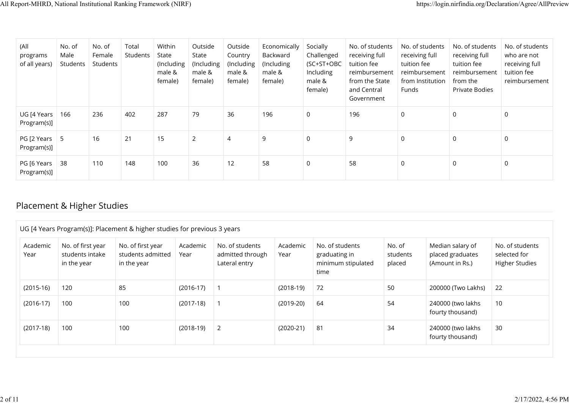| (All<br>programs<br>of all years) | No. of<br>Male<br>Students | No. of<br>Female<br>Students | Total<br>Students | Within<br>State<br>(Including<br>male &<br>female) | Outside<br>State<br>(Including<br>male &<br>female) | Outside<br>Country<br>(Including<br>male &<br>female) | Economically<br>Backward<br>(Including)<br>male &<br>female) | Socially<br>Challenged<br>(SC+ST+OBC<br>Including<br>male &<br>female) | No. of students<br>receiving full<br>tuition fee<br>reimbursement<br>from the State<br>and Central<br>Government | No. of students<br>receiving full<br>tuition fee<br>reimbursement<br>from Institution<br><b>Funds</b> | No. of students<br>receiving full<br>tuition fee<br>reimbursement<br>from the<br>Private Bodies | No. of students<br>who are not<br>receiving full<br>tuition fee<br>reimbursement |
|-----------------------------------|----------------------------|------------------------------|-------------------|----------------------------------------------------|-----------------------------------------------------|-------------------------------------------------------|--------------------------------------------------------------|------------------------------------------------------------------------|------------------------------------------------------------------------------------------------------------------|-------------------------------------------------------------------------------------------------------|-------------------------------------------------------------------------------------------------|----------------------------------------------------------------------------------|
| UG [4 Years<br>Program(s)]        | 166                        | 236                          | 402               | 287                                                | 79                                                  | 36                                                    | 196                                                          | $\mathbf 0$                                                            | 196                                                                                                              | 0                                                                                                     |                                                                                                 | 0                                                                                |
| PG [2 Years  <br>Program(s)]      | -5                         | 16                           | 21                | 15                                                 | 2                                                   | $\overline{4}$                                        | 9                                                            | $\mathbf 0$                                                            | 9                                                                                                                | $\mathbf 0$                                                                                           | $\Omega$                                                                                        | 0                                                                                |
| PG [6 Years<br>Program(s)]        | 38                         | 110                          | 148               | 100                                                | 36                                                  | 12                                                    | 58                                                           | $\mathbf 0$                                                            | 58                                                                                                               | 0                                                                                                     | 0                                                                                               | 0                                                                                |

## Placement & Higher Studies

| Academic<br>Year | No. of first year<br>students intake<br>in the year | No. of first year<br>students admitted<br>in the year | Academic<br>Year | No. of students<br>admitted through<br>Lateral entry | Academic<br>Year | No. of students<br>graduating in<br>minimum stipulated<br>time | No. of<br>students<br>placed | Median salary of<br>placed graduates<br>(Amount in Rs.) | No. of students<br>selected for<br><b>Higher Studies</b> |
|------------------|-----------------------------------------------------|-------------------------------------------------------|------------------|------------------------------------------------------|------------------|----------------------------------------------------------------|------------------------------|---------------------------------------------------------|----------------------------------------------------------|
| $(2015-16)$      | 120                                                 | 85                                                    | $(2016-17)$      |                                                      | $(2018-19)$      | 72                                                             | 50                           | 200000 (Two Lakhs)                                      | 22                                                       |
| $(2016-17)$      | 100                                                 | 100                                                   | $(2017-18)$      |                                                      | $(2019-20)$      | 64                                                             | 54                           | 240000 (two lakhs<br>fourty thousand)                   | 10                                                       |
| $(2017-18)$      | 100                                                 | 100                                                   | $(2018-19)$      | 2                                                    | $(2020-21)$      | 81                                                             | 34                           | 240000 (two lakhs<br>fourty thousand)                   | 30                                                       |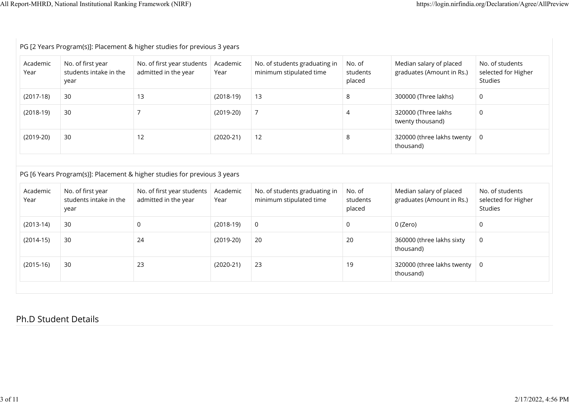$\mathbb{R}^n$ 

| Academic<br>Year           | No. of first year<br>students intake in the<br>year | No. of first year students<br>admitted in the year                       | Academic<br>Year           | No. of students graduating in<br>minimum stipulated time | No. of<br>students<br>placed | Median salary of placed<br>graduates (Amount in Rs.) | No. of students<br>selected for Higher<br>Studies |
|----------------------------|-----------------------------------------------------|--------------------------------------------------------------------------|----------------------------|----------------------------------------------------------|------------------------------|------------------------------------------------------|---------------------------------------------------|
| $(2017-18)$                | 30                                                  | 13                                                                       | $(2018-19)$                | 13                                                       | 8                            | 300000 (Three lakhs)                                 | 0                                                 |
| $(2018-19)$                | 30                                                  | $\overline{7}$                                                           | $(2019-20)$                | $\overline{7}$                                           | $\overline{4}$               | 320000 (Three lakhs<br>twenty thousand)              | 0                                                 |
| $(2019-20)$                | 30                                                  | 12                                                                       | $(2020-21)$                | 12                                                       | 8                            | 320000 (three lakhs twenty<br>thousand)              | $\mathsf{O}$                                      |
|                            |                                                     | PG [6 Years Program(s)]: Placement & higher studies for previous 3 years |                            |                                                          |                              |                                                      |                                                   |
|                            | No. of first year<br>students intake in the         | No. of first year students<br>admitted in the year                       | Academic<br>Year           | No. of students graduating in<br>minimum stipulated time | No. of<br>students           | Median salary of placed<br>graduates (Amount in Rs.) | No. of students                                   |
| Academic<br>Year           | year                                                |                                                                          |                            |                                                          | placed                       |                                                      | selected for Higher<br>Studies                    |
| $(2013-14)$<br>$(2014-15)$ | 30<br>30                                            | $\mathsf{O}$<br>24                                                       | $(2018-19)$<br>$(2019-20)$ | $\mathsf{O}$<br>20                                       | $\mathsf{O}$<br>20           | 0 (Zero)<br>360000 (three lakhs sixty<br>thousand)   | 0<br>0                                            |

### Ph.D Student Details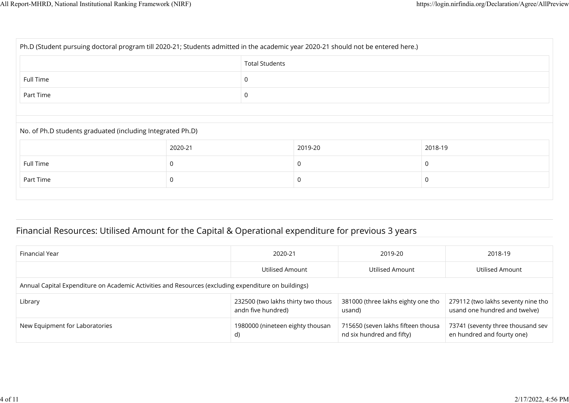| Ph.D (Student pursuing doctoral program till 2020-21; Students admitted in the academic year 2020-21 should not be entered here.) |          |                       |         |         |  |  |  |
|-----------------------------------------------------------------------------------------------------------------------------------|----------|-----------------------|---------|---------|--|--|--|
|                                                                                                                                   |          | <b>Total Students</b> |         |         |  |  |  |
| Full Time                                                                                                                         | 0        |                       |         |         |  |  |  |
| Part Time                                                                                                                         | 0        |                       |         |         |  |  |  |
|                                                                                                                                   |          |                       |         |         |  |  |  |
| No. of Ph.D students graduated (including Integrated Ph.D)                                                                        |          |                       |         |         |  |  |  |
|                                                                                                                                   | 2020-21  |                       | 2019-20 | 2018-19 |  |  |  |
| Full Time                                                                                                                         | $\Omega$ |                       | 0       | 0       |  |  |  |
| Part Time<br>0<br>0                                                                                                               |          |                       |         |         |  |  |  |
|                                                                                                                                   |          |                       |         |         |  |  |  |

## Financial Resources: Utilised Amount for the Capital & Operational expenditure for previous 3 years

| Financial Year                                                                                       | 2020-21                                                  | 2019-20                                                         | 2018-19                                                             |  |  |  |  |  |
|------------------------------------------------------------------------------------------------------|----------------------------------------------------------|-----------------------------------------------------------------|---------------------------------------------------------------------|--|--|--|--|--|
|                                                                                                      | Utilised Amount                                          | Utilised Amount                                                 | Utilised Amount                                                     |  |  |  |  |  |
| Annual Capital Expenditure on Academic Activities and Resources (excluding expenditure on buildings) |                                                          |                                                                 |                                                                     |  |  |  |  |  |
| Library                                                                                              | 232500 (two lakhs thirty two thous<br>andn five hundred) | 381000 (three lakhs eighty one tho<br>usand)                    | 279112 (two lakhs seventy nine tho<br>usand one hundred and twelve) |  |  |  |  |  |
| New Equipment for Laboratories                                                                       | 1980000 (nineteen eighty thousan<br>d)                   | 715650 (seven lakhs fifteen thousa<br>nd six hundred and fifty) | 73741 (seventy three thousand sev<br>en hundred and fourty one)     |  |  |  |  |  |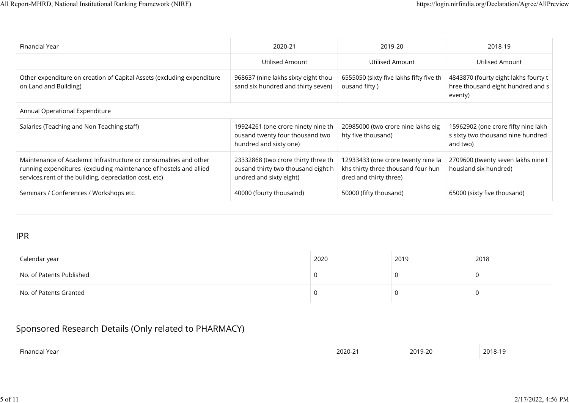| Financial Year                                                                                                                                                                                  | 2020-21                                                                                              | 2019-20                                                                                            | 2018-19                                                                              |  |  |  |  |  |
|-------------------------------------------------------------------------------------------------------------------------------------------------------------------------------------------------|------------------------------------------------------------------------------------------------------|----------------------------------------------------------------------------------------------------|--------------------------------------------------------------------------------------|--|--|--|--|--|
|                                                                                                                                                                                                 | Utilised Amount                                                                                      | Utilised Amount                                                                                    | Utilised Amount                                                                      |  |  |  |  |  |
| Other expenditure on creation of Capital Assets (excluding expenditure<br>on Land and Building)                                                                                                 | 968637 (nine lakhs sixty eight thou<br>sand six hundred and thirty seven)                            | 6555050 (sixty five lakhs fifty five th<br>ousand fifty)                                           | 4843870 (fourty eight lakhs fourty t<br>hree thousand eight hundred and s<br>eventy) |  |  |  |  |  |
| Annual Operational Expenditure                                                                                                                                                                  |                                                                                                      |                                                                                                    |                                                                                      |  |  |  |  |  |
| Salaries (Teaching and Non Teaching staff)                                                                                                                                                      | 19924261 (one crore ninety nine th<br>ousand twenty four thousand two<br>hundred and sixty one)      | 20985000 (two crore nine lakhs eig<br>hty five thousand)                                           | 15962902 (one crore fifty nine lakh<br>s sixty two thousand nine hundred<br>and two) |  |  |  |  |  |
| Maintenance of Academic Infrastructure or consumables and other<br>running expenditures (excluding maintenance of hostels and allied<br>services, rent of the building, depreciation cost, etc) | 23332868 (two crore thirty three th<br>ousand thirty two thousand eight h<br>undred and sixty eight) | 12933433 (one crore twenty nine la<br>khs thirty three thousand four hun<br>dred and thirty three) | 2709600 (twenty seven lakhs nine t<br>housland six hundred)                          |  |  |  |  |  |
| Seminars / Conferences / Workshops etc.                                                                                                                                                         | 40000 (fourty thousalnd)                                                                             | 50000 (fifty thousand)                                                                             | 65000 (sixty five thousand)                                                          |  |  |  |  |  |

#### IPR

| Calendar year            | 2020 | 2019 | 2018 |
|--------------------------|------|------|------|
| No. of Patents Published |      |      |      |
| No. of Patents Granted   |      |      |      |

### Sponsored Research Details (Only related to PHARMACY)

| $ -$<br>Financia<br>Year | 2020-21 | 2019-20 | 2018-19 |
|--------------------------|---------|---------|---------|
|                          |         |         |         |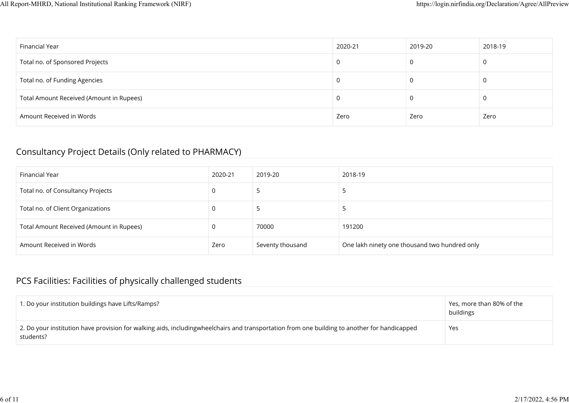| Financial Year                           | 2020-21 | 2019-20 | 2018-19 |
|------------------------------------------|---------|---------|---------|
| Total no. of Sponsored Projects          |         |         |         |
| Total no. of Funding Agencies            |         | 0       | U       |
| Total Amount Received (Amount in Rupees) |         | U       |         |
| Amount Received in Words                 | Zero    | Zero    | Zero    |

#### Consultancy Project Details (Only related to PHARMACY)

| Financial Year                           | 2020-21 | 2019-20          | 2018-19                                       |
|------------------------------------------|---------|------------------|-----------------------------------------------|
| Total no. of Consultancy Projects        |         |                  |                                               |
| Total no. of Client Organizations        | 0       |                  |                                               |
| Total Amount Received (Amount in Rupees) |         | 70000            | 191200                                        |
| Amount Received in Words                 | Zero    | Seventy thousand | One lakh ninety one thousand two hundred only |

## PCS Facilities: Facilities of physically challenged students

| 1. Do your institution buildings have Lifts/Ramps?                                                                                                        | Yes, more than 80% of the<br>buildings |
|-----------------------------------------------------------------------------------------------------------------------------------------------------------|----------------------------------------|
| 2. Do your institution have provision for walking aids, includingwheelchairs and transportation from one building to another for handicapped<br>students? | Yes                                    |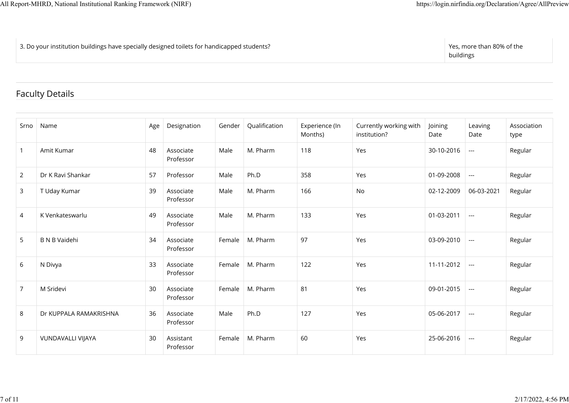3. Do your institution buildings have specially designed toilets for handicapped students? Yes, more than 80% of the

buildings

### Faculty Details

| Srno           | Name                   | Age | Designation            | Gender | Qualification | Experience (In<br>Months) | Currently working with<br>institution? | Joining<br>Date | Leaving<br>Date          | Association<br>type |
|----------------|------------------------|-----|------------------------|--------|---------------|---------------------------|----------------------------------------|-----------------|--------------------------|---------------------|
| $\mathbf{1}$   | Amit Kumar             | 48  | Associate<br>Professor | Male   | M. Pharm      | 118                       | Yes                                    | 30-10-2016      | $\overline{a}$           | Regular             |
| $\overline{2}$ | Dr K Ravi Shankar      | 57  | Professor              | Male   | Ph.D          | 358                       | Yes                                    | 01-09-2008      | $\sim$                   | Regular             |
| 3              | T Uday Kumar           | 39  | Associate<br>Professor | Male   | M. Pharm      | 166                       | No                                     | 02-12-2009      | 06-03-2021               | Regular             |
| 4              | K Venkateswarlu        | 49  | Associate<br>Professor | Male   | M. Pharm      | 133                       | Yes                                    | 01-03-2011      | $\hspace{0.05cm} \ldots$ | Regular             |
| 5              | <b>B N B Vaidehi</b>   | 34  | Associate<br>Professor | Female | M. Pharm      | 97                        | Yes                                    | 03-09-2010      | $\overline{a}$           | Regular             |
| 6              | N Divya                | 33  | Associate<br>Professor | Female | M. Pharm      | 122                       | Yes                                    | 11-11-2012      | $\overline{a}$           | Regular             |
| $\overline{7}$ | M Sridevi              | 30  | Associate<br>Professor | Female | M. Pharm      | 81                        | Yes                                    | 09-01-2015      | $\sim$                   | Regular             |
| 8              | Dr KUPPALA RAMAKRISHNA | 36  | Associate<br>Professor | Male   | Ph.D          | 127                       | Yes                                    | 05-06-2017      | $\overline{\phantom{a}}$ | Regular             |
| 9              | VUNDAVALLI VIJAYA      | 30  | Assistant<br>Professor | Female | M. Pharm      | 60                        | Yes                                    | 25-06-2016      | $\sim$                   | Regular             |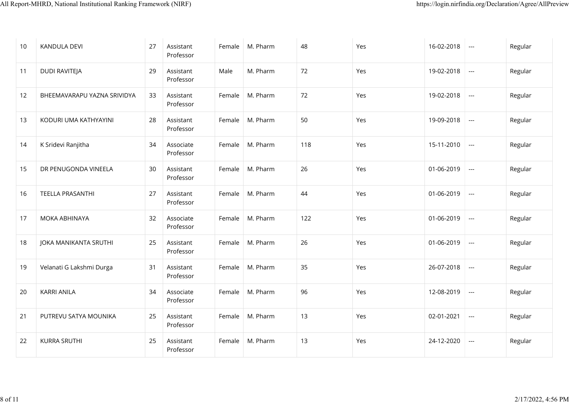| 10 | <b>KANDULA DEVI</b>         | 27 | Assistant<br>Professor | Female | M. Pharm | 48  | Yes | 16-02-2018 | $\hspace{0.05cm} \ldots$ | Regular |
|----|-----------------------------|----|------------------------|--------|----------|-----|-----|------------|--------------------------|---------|
| 11 | DUDI RAVITEJA               | 29 | Assistant<br>Professor | Male   | M. Pharm | 72  | Yes | 19-02-2018 | $\scriptstyle\cdots$     | Regular |
| 12 | BHEEMAVARAPU YAZNA SRIVIDYA | 33 | Assistant<br>Professor | Female | M. Pharm | 72  | Yes | 19-02-2018 | $\hspace{0.05cm} \ldots$ | Regular |
| 13 | KODURI UMA KATHYAYINI       | 28 | Assistant<br>Professor | Female | M. Pharm | 50  | Yes | 19-09-2018 | $\scriptstyle\cdots$     | Regular |
| 14 | K Sridevi Ranjitha          | 34 | Associate<br>Professor | Female | M. Pharm | 118 | Yes | 15-11-2010 | $\overline{\phantom{a}}$ | Regular |
| 15 | DR PENUGONDA VINEELA        | 30 | Assistant<br>Professor | Female | M. Pharm | 26  | Yes | 01-06-2019 | $\hspace{0.05cm} \ldots$ | Regular |
| 16 | TEELLA PRASANTHI            | 27 | Assistant<br>Professor | Female | M. Pharm | 44  | Yes | 01-06-2019 | $\scriptstyle\cdots$     | Regular |
| 17 | MOKA ABHINAYA               | 32 | Associate<br>Professor | Female | M. Pharm | 122 | Yes | 01-06-2019 | $\scriptstyle\cdots$     | Regular |
| 18 | JOKA MANIKANTA SRUTHI       | 25 | Assistant<br>Professor | Female | M. Pharm | 26  | Yes | 01-06-2019 | $\hspace{0.05cm} \ldots$ | Regular |
| 19 | Velanati G Lakshmi Durga    | 31 | Assistant<br>Professor | Female | M. Pharm | 35  | Yes | 26-07-2018 | $\hspace{0.05cm} \ldots$ | Regular |
| 20 | <b>KARRI ANILA</b>          | 34 | Associate<br>Professor | Female | M. Pharm | 96  | Yes | 12-08-2019 | $\hspace{0.05cm} \ldots$ | Regular |
| 21 | PUTREVU SATYA MOUNIKA       | 25 | Assistant<br>Professor | Female | M. Pharm | 13  | Yes | 02-01-2021 | $\hspace{0.05cm} \ldots$ | Regular |
| 22 | <b>KURRA SRUTHI</b>         | 25 | Assistant<br>Professor | Female | M. Pharm | 13  | Yes | 24-12-2020 | $\hspace{0.05cm} \ldots$ | Regular |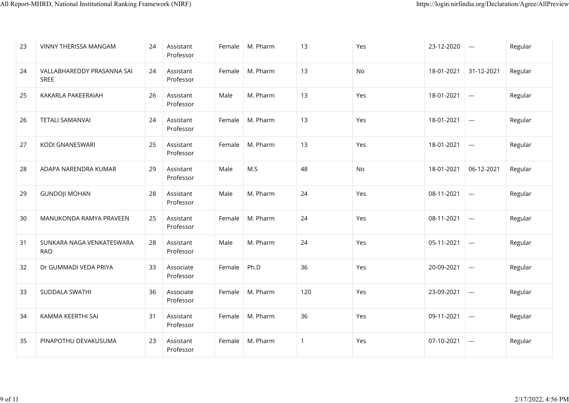| 23 | VINNY THERISSA MANGAM                     | 24 | Assistant<br>Professor | Female | M. Pharm | 13             | Yes | 23-12-2020 | $--$                                     | Regular |
|----|-------------------------------------------|----|------------------------|--------|----------|----------------|-----|------------|------------------------------------------|---------|
| 24 | VALLABHAREDDY PRASANNA SAI<br><b>SREE</b> | 24 | Assistant<br>Professor | Female | M. Pharm | 13             | No  | 18-01-2021 | 31-12-2021                               | Regular |
| 25 | KAKARLA PAKEERAIAH                        | 26 | Assistant<br>Professor | Male   | M. Pharm | 13             | Yes | 18-01-2021 | $\hspace{0.05cm} \ldots$                 | Regular |
| 26 | <b>TETALI SAMANVAI</b>                    | 24 | Assistant<br>Professor | Female | M. Pharm | 13             | Yes | 18-01-2021 | $\hspace{0.05cm} \ldots$                 | Regular |
| 27 | KODI GNANESWARI                           | 25 | Assistant<br>Professor | Female | M. Pharm | 13             | Yes | 18-01-2021 | $\hspace{0.05cm} \ldots$                 | Regular |
| 28 | ADAPA NARENDRA KUMAR                      | 29 | Assistant<br>Professor | Male   | M.S      | 48             | No  | 18-01-2021 | 06-12-2021                               | Regular |
| 29 | <b>GUNDOJI MOHAN</b>                      | 28 | Assistant<br>Professor | Male   | M. Pharm | 24             | Yes | 08-11-2021 | $\qquad \qquad -\qquad -$                | Regular |
| 30 | MANUKONDA RAMYA PRAVEEN                   | 25 | Assistant<br>Professor | Female | M. Pharm | 24             | Yes | 08-11-2021 | $\hspace{0.05cm} \ldots \hspace{0.05cm}$ | Regular |
| 31 | SUNKARA NAGA VENKATESWARA<br><b>RAO</b>   | 28 | Assistant<br>Professor | Male   | M. Pharm | 24             | Yes | 05-11-2021 | $\qquad \qquad -\qquad -$                | Regular |
| 32 | Dr GUMMADI VEDA PRIYA                     | 33 | Associate<br>Professor | Female | Ph.D     | 36             | Yes | 20-09-2021 | $\hspace{0.05cm} \ldots$                 | Regular |
| 33 | SUDDALA SWATHI                            | 36 | Associate<br>Professor | Female | M. Pharm | 120            | Yes | 23-09-2021 | $\hspace{0.05cm} \ldots$                 | Regular |
| 34 | KAMMA KEERTHI SAI                         | 31 | Assistant<br>Professor | Female | M. Pharm | 36             | Yes | 09-11-2021 | $\scriptstyle\cdots$                     | Regular |
| 35 | PINAPOTHU DEVAKUSUMA                      | 23 | Assistant<br>Professor | Female | M. Pharm | $\overline{1}$ | Yes | 07-10-2021 | $\overline{a}$                           | Regular |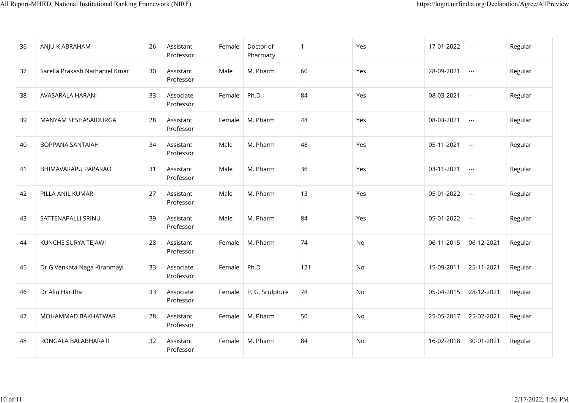| 36 | ANJU K ABRAHAM                 | 26 | Assistant<br>Professor | Female | Doctor of<br>Pharmacy | $\overline{1}$ | Yes | 17-01-2022 | $\sim$ $\sim$            | Regular |
|----|--------------------------------|----|------------------------|--------|-----------------------|----------------|-----|------------|--------------------------|---------|
| 37 | Sarella Prakash Nathaniel Kmar | 30 | Assistant<br>Professor | Male   | M. Pharm              | 60             | Yes | 28-09-2021 | $\sim$ $\sim$            | Regular |
| 38 | AVASARALA HARANI               | 33 | Associate<br>Professor | Female | Ph.D                  | 84             | Yes | 08-03-2021 | $\hspace{0.05cm} \ldots$ | Regular |
| 39 | MANYAM SESHASAIDURGA           | 28 | Assistant<br>Professor | Female | M. Pharm              | 48             | Yes | 08-03-2021 | $\sim$ $\sim$            | Regular |
| 40 | <b>BOPPANA SANTAIAH</b>        | 34 | Assistant<br>Professor | Male   | M. Pharm              | 48             | Yes | 05-11-2021 | $\sim$ $\sim$            | Regular |
| 41 | BHIMAVARAPU PAPARAO            | 31 | Assistant<br>Professor | Male   | M. Pharm              | 36             | Yes | 03-11-2021 | $\sim$ $\sim$            | Regular |
| 42 | PILLA ANIL KUMAR               | 27 | Assistant<br>Professor | Male   | M. Pharm              | 13             | Yes | 05-01-2022 | $\sim$ $\sim$            | Regular |
| 43 | SATTENAPALLI SRINU             | 39 | Assistant<br>Professor | Male   | M. Pharm              | 84             | Yes | 05-01-2022 | $\scriptstyle \cdots$    | Regular |
| 44 | KUNCHE SURYA TEJAWI            | 28 | Assistant<br>Professor | Female | M. Pharm              | 74             | No  | 06-11-2015 | 06-12-2021               | Regular |
| 45 | Dr G Venkata Naga Kiranmayi    | 33 | Associate<br>Professor | Female | Ph.D                  | 121            | No  | 15-09-2011 | 25-11-2021               | Regular |
| 46 | Dr Allu Haritha                | 33 | Associate<br>Professor | Female | P. G. Sculpture       | 78             | No  | 05-04-2015 | 28-12-2021               | Regular |
| 47 | MOHAMMAD BAKHATWAR             | 28 | Assistant<br>Professor | Female | M. Pharm              | 50             | No  | 25-05-2017 | 25-02-2021               | Regular |
| 48 | RONGALA BALABHARATI            | 32 | Assistant<br>Professor | Female | M. Pharm              | 84             | No  | 16-02-2018 | 30-01-2021               | Regular |